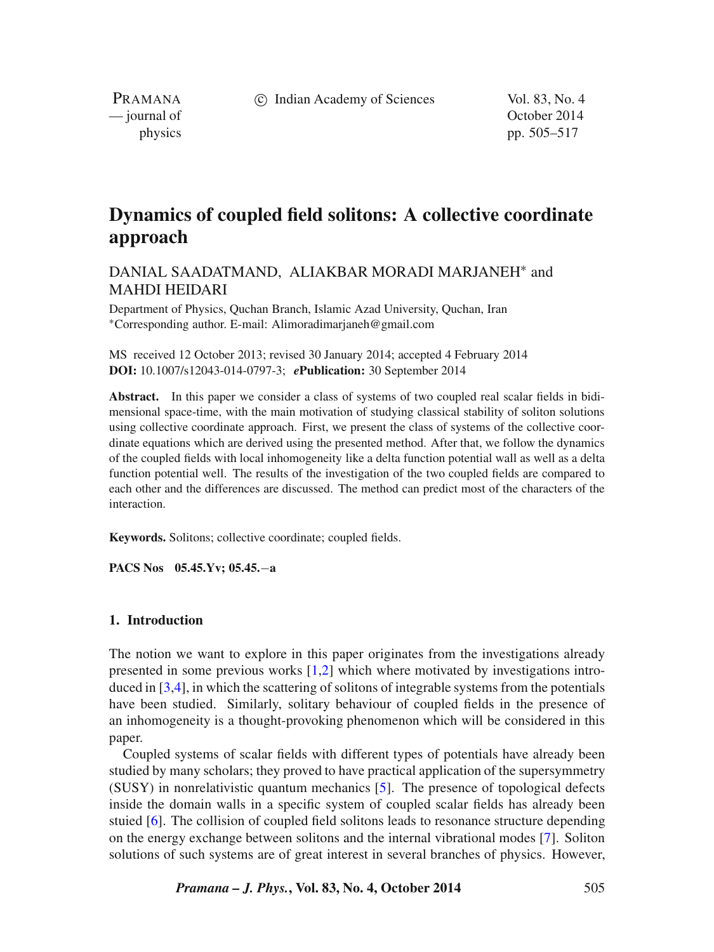c Indian Academy of Sciences Vol. 83, No. 4

PRAMANA<br>
— journal of

October 2014 physics pp. 505–517

# **Dynamics of coupled field solitons: A collective coordinate approach**

## DANIAL SAADATMAND. ALIAKBAR MORADI MARJANEH<sup>\*</sup> and MAHDI HEIDARI

Department of Physics, Quchan Branch, Islamic Azad University, Quchan, Iran ∗Corresponding author. E-mail: Alimoradimarjaneh@gmail.com

MS received 12 October 2013; revised 30 January 2014; accepted 4 February 2014 **DOI:** 10.1007/s12043-014-0797-3; *e***Publication:** 30 September 2014

**Abstract.** In this paper we consider a class of systems of two coupled real scalar fields in bidimensional space-time, with the main motivation of studying classical stability of soliton solutions using collective coordinate approach. First, we present the class of systems of the collective coordinate equations which are derived using the presented method. After that, we follow the dynamics of the coupled fields with local inhomogeneity like a delta function potential wall as well as a delta function potential well. The results of the investigation of the two coupled fields are compared to each other and the differences are discussed. The method can predict most of the characters of the interaction.

**Keywords.** Solitons; collective coordinate; coupled fields.

**PACS Nos 05.45.Yv; 05.45.**−**a**

#### **1. Introduction**

The notion we want to explore in this paper originates from the investigations already presented in some previous works [\[1,](#page-11-0)[2\]](#page-11-1) which where motivated by investigations introduced in [\[3,](#page-11-2)[4\]](#page-11-3), in which the scattering of solitons of integrable systems from the potentials have been studied. Similarly, solitary behaviour of coupled fields in the presence of an inhomogeneity is a thought-provoking phenomenon which will be considered in this paper.

Coupled systems of scalar fields with different types of potentials have already been studied by many scholars; they proved to have practical application of the supersymmetry (SUSY) in nonrelativistic quantum mechanics [\[5\]](#page-11-4). The presence of topological defects inside the domain walls in a specific system of coupled scalar fields has already been stuied [\[6\]](#page-11-5). The collision of coupled field solitons leads to resonance structure depending on the energy exchange between solitons and the internal vibrational modes [\[7\]](#page-11-6). Soliton solutions of such systems are of great interest in several branches of physics. However,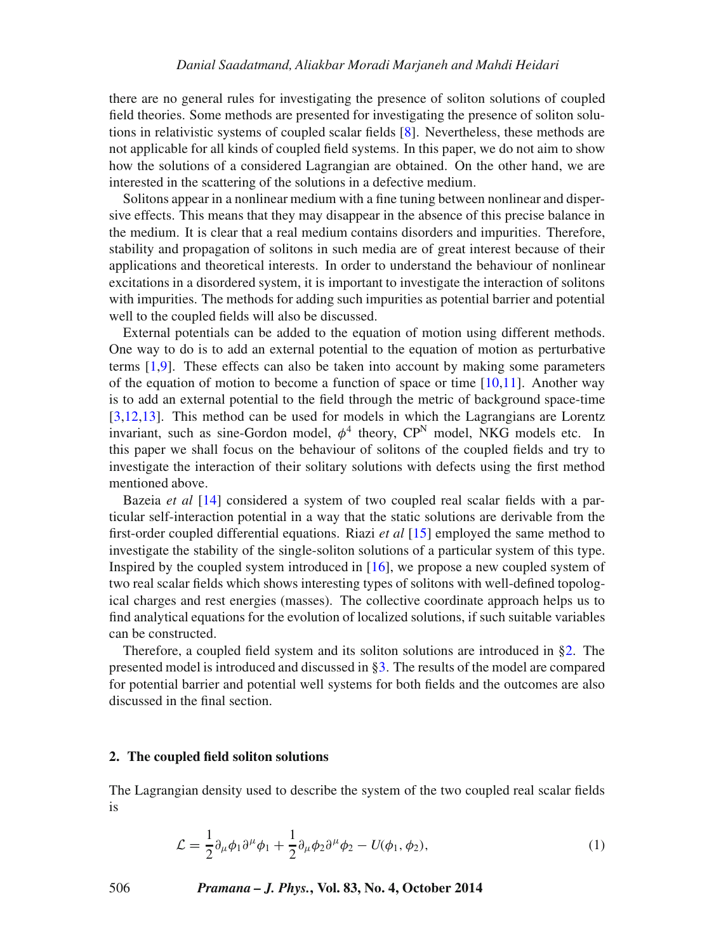there are no general rules for investigating the presence of soliton solutions of coupled field theories. Some methods are presented for investigating the presence of soliton solutions in relativistic systems of coupled scalar fields [\[8\]](#page-12-0). Nevertheless, these methods are not applicable for all kinds of coupled field systems. In this paper, we do not aim to show how the solutions of a considered Lagrangian are obtained. On the other hand, we are interested in the scattering of the solutions in a defective medium.

Solitons appear in a nonlinear medium with a fine tuning between nonlinear and dispersive effects. This means that they may disappear in the absence of this precise balance in the medium. It is clear that a real medium contains disorders and impurities. Therefore, stability and propagation of solitons in such media are of great interest because of their applications and theoretical interests. In order to understand the behaviour of nonlinear excitations in a disordered system, it is important to investigate the interaction of solitons with impurities. The methods for adding such impurities as potential barrier and potential well to the coupled fields will also be discussed.

External potentials can be added to the equation of motion using different methods. One way to do is to add an external potential to the equation of motion as perturbative terms [\[1,](#page-11-0)[9\]](#page-12-1). These effects can also be taken into account by making some parameters of the equation of motion to become a function of space or time  $[10,11]$  $[10,11]$ . Another way is to add an external potential to the field through the metric of background space-time [\[3](#page-11-2)[,12,](#page-12-4)[13\]](#page-12-5). This method can be used for models in which the Lagrangians are Lorentz invariant, such as sine-Gordon model,  $\phi^4$  theory,  $\mathbb{CP}^N$  model, NKG models etc. In this paper we shall focus on the behaviour of solitons of the coupled fields and try to investigate the interaction of their solitary solutions with defects using the first method mentioned above.

Bazeia *et al* [\[14\]](#page-12-6) considered a system of two coupled real scalar fields with a particular self-interaction potential in a way that the static solutions are derivable from the first-order coupled differential equations. Riazi *et al* [\[15\]](#page-12-7) employed the same method to investigate the stability of the single-soliton solutions of a particular system of this type. Inspired by the coupled system introduced in [\[16\]](#page-12-8), we propose a new coupled system of two real scalar fields which shows interesting types of solitons with well-defined topological charges and rest energies (masses). The collective coordinate approach helps us to find analytical equations for the evolution of localized solutions, if such suitable variables can be constructed.

Therefore, a coupled field system and its soliton solutions are introduced in [§2.](#page-1-0) The presented model is introduced and discussed in [§3.](#page-4-0) The results of the model are compared for potential barrier and potential well systems for both fields and the outcomes are also discussed in the final section.

#### <span id="page-1-0"></span>**2. The coupled field soliton solutions**

The Lagrangian density used to describe the system of the two coupled real scalar fields is

<span id="page-1-1"></span>
$$
\mathcal{L} = \frac{1}{2} \partial_{\mu} \phi_1 \partial^{\mu} \phi_1 + \frac{1}{2} \partial_{\mu} \phi_2 \partial^{\mu} \phi_2 - U(\phi_1, \phi_2), \tag{1}
$$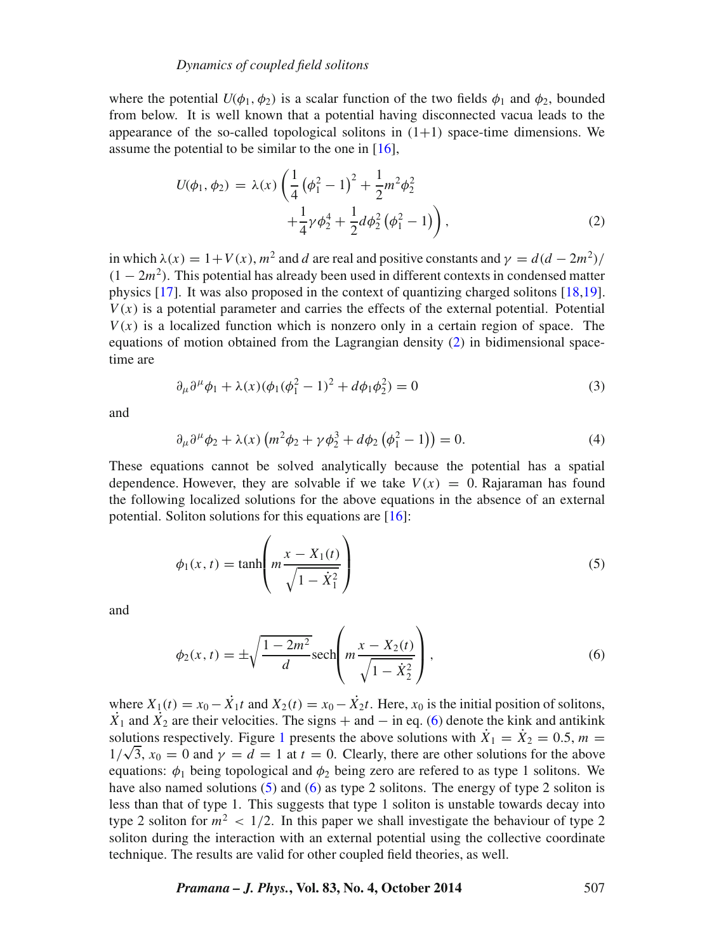#### *Dynamics of coupled field solitons*

where the potential  $U(\phi_1, \phi_2)$  is a scalar function of the two fields  $\phi_1$  and  $\phi_2$ , bounded from below. It is well known that a potential having disconnected vacua leads to the appearance of the so-called topological solitons in  $(1+1)$  space-time dimensions. We assume the potential to be similar to the one in [\[16\]](#page-12-8),

<span id="page-2-0"></span>
$$
U(\phi_1, \phi_2) = \lambda(x) \left( \frac{1}{4} \left( \phi_1^2 - 1 \right)^2 + \frac{1}{2} m^2 \phi_2^2 + \frac{1}{4} \gamma \phi_2^4 + \frac{1}{2} d \phi_2^2 \left( \phi_1^2 - 1 \right) \right),
$$
\n(2)

in which  $\lambda(x) = 1 + V(x)$ ,  $m^2$  and d are real and positive constants and  $\gamma = d(d - 2m^2)/$  $(1 - 2m^2)$ . This potential has already been used in different contexts in condensed matter physics [\[17\]](#page-12-9). It was also proposed in the context of quantizing charged solitons [\[18,](#page-12-10)[19\]](#page-12-11).  $V(x)$  is a potential parameter and carries the effects of the external potential. Potential  $V(x)$  is a localized function which is nonzero only in a certain region of space. The equations of motion obtained from the Lagrangian density [\(2\)](#page-2-0) in bidimensional spacetime are

<span id="page-2-3"></span>
$$
\partial_{\mu}\partial^{\mu}\phi_1 + \lambda(x)(\phi_1(\phi_1^2 - 1)^2 + d\phi_1\phi_2^2) = 0
$$
\n(3)

<span id="page-2-4"></span>and

$$
\partial_{\mu}\partial^{\mu}\phi_2 + \lambda(x)\left(m^2\phi_2 + \gamma\phi_2^3 + d\phi_2\left(\phi_1^2 - 1\right)\right) = 0. \tag{4}
$$

These equations cannot be solved analytically because the potential has a spatial dependence. However, they are solvable if we take  $V(x) = 0$ . Rajaraman has found the following localized solutions for the above equations in the absence of an external potential. Soliton solutions for this equations are [\[16\]](#page-12-8):

<span id="page-2-2"></span>
$$
\phi_1(x, t) = \tanh\left(m\frac{x - X_1(t)}{\sqrt{1 - \dot{X}_1^2}}\right)
$$
\n(5)

<span id="page-2-1"></span>and

$$
\phi_2(x,t) = \pm \sqrt{\frac{1 - 2m^2}{d}} \text{sech}\left(m\frac{x - X_2(t)}{\sqrt{1 - \dot{X}_2^2}}\right),\tag{6}
$$

where  $X_1(t) = x_0 - \dot{X}_1 t$  and  $X_2(t) = x_0 - \dot{X}_2 t$ . Here,  $x_0$  is the initial position of solitons,  $\dot{X}_1$  and  $\dot{X}_2$  are their velocities. The signs + and − in eq. [\(6\)](#page-2-1) denote the kink and antikink solutions respectively. Figure [1](#page-3-0) presents the above solutions with  $\dot{X}_1 = \dot{X}_2 = 0.5$ ,  $m =$  $1/\sqrt{3}$ ,  $x_0 = 0$  and  $\gamma = d = 1$  at  $t = 0$ . Clearly, there are other solutions for the above  $1/\sqrt{3}$ ,  $x_0 = 0$  and  $\gamma = d = 1$  at  $t = 0$ . Clearly, there are other solutions for the above equations:  $\phi_1$  being topological and  $\phi_2$  being zero are refered to as type 1 solitons. We have also named solutions [\(5\)](#page-2-2) and [\(6\)](#page-2-1) as type 2 solitons. The energy of type 2 soliton is less than that of type 1. This suggests that type 1 soliton is unstable towards decay into type 2 soliton for  $m^2 < 1/2$ . In this paper we shall investigate the behaviour of type 2 soliton during the interaction with an external potential using the collective coordinate technique. The results are valid for other coupled field theories, as well.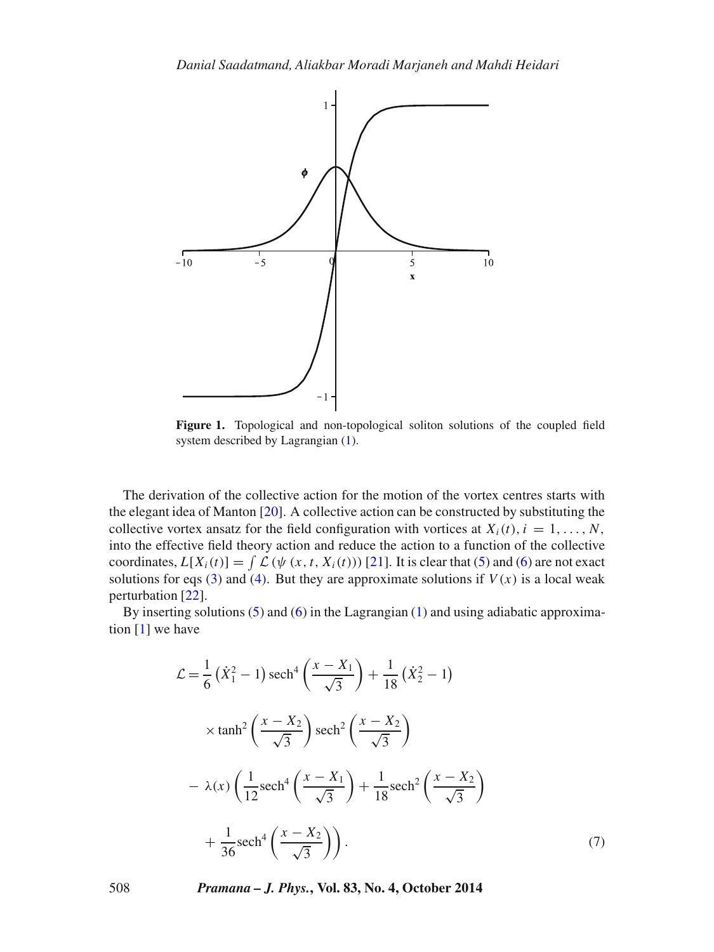<span id="page-3-0"></span>

**Figure 1.** Topological and non-topological soliton solutions of the coupled field system described by Lagrangian [\(1\)](#page-1-1).

The derivation of the collective action for the motion of the vortex centres starts with the elegant idea of Manton [\[20\]](#page-12-12). A collective action can be constructed by substituting the collective vortex ansatz for the field configuration with vortices at  $X_i(t)$ ,  $i = 1, \ldots, N$ , into the effective field theory action and reduce the action to a function of the collective coordinates,  $L[X_i(t)] = \int \mathcal{L}(\psi(x, t, X_i(t)))$  [\[21\]](#page-12-13). It is clear that [\(5\)](#page-2-2) and [\(6\)](#page-2-1) are not exact solutions for eqs [\(3\)](#page-2-3) and [\(4\)](#page-2-4). But they are approximate solutions if  $V(x)$  is a local weak perturbation [\[22\]](#page-12-14).

By inserting solutions  $(5)$  and  $(6)$  in the Lagrangian  $(1)$  and using adiabatic approximation [\[1\]](#page-11-0) we have

<span id="page-3-1"></span>
$$
\mathcal{L} = \frac{1}{6} (\dot{X}_1^2 - 1) \operatorname{sech}^4 \left( \frac{x - X_1}{\sqrt{3}} \right) + \frac{1}{18} (\dot{X}_2^2 - 1)
$$
  
 
$$
\times \tanh^2 \left( \frac{x - X_2}{\sqrt{3}} \right) \operatorname{sech}^2 \left( \frac{x - X_2}{\sqrt{3}} \right)
$$
  
- 
$$
\lambda(x) \left( \frac{1}{12} \operatorname{sech}^4 \left( \frac{x - X_1}{\sqrt{3}} \right) + \frac{1}{18} \operatorname{sech}^2 \left( \frac{x - X_2}{\sqrt{3}} \right) + \frac{1}{36} \operatorname{sech}^4 \left( \frac{x - X_2}{\sqrt{3}} \right) \right).
$$
 (7)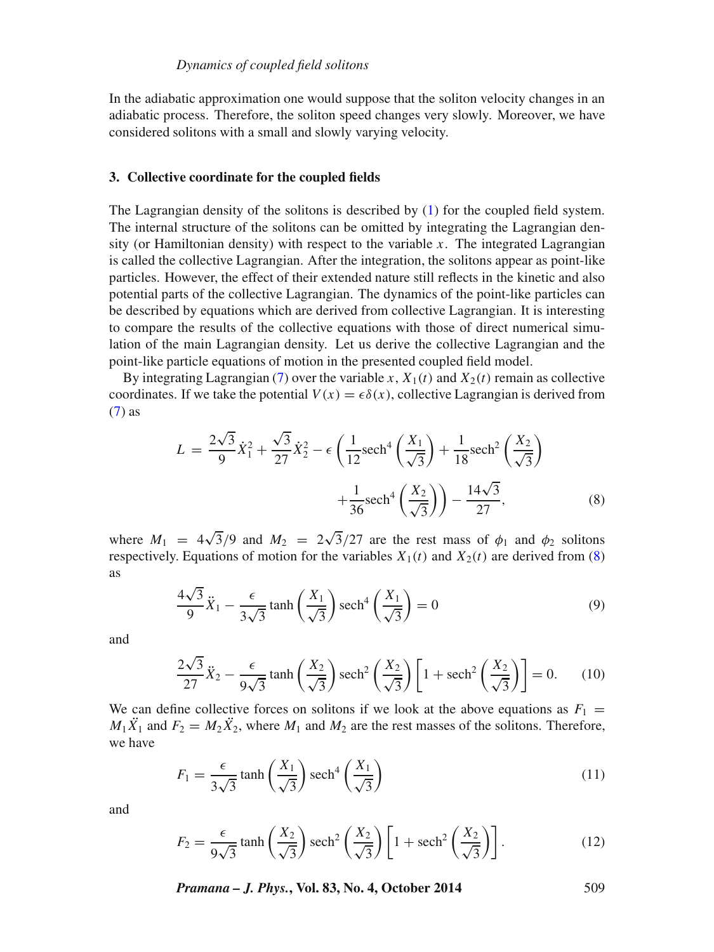In the adiabatic approximation one would suppose that the soliton velocity changes in an adiabatic process. Therefore, the soliton speed changes very slowly. Moreover, we have considered solitons with a small and slowly varying velocity.

#### <span id="page-4-0"></span>**3. Collective coordinate for the coupled fields**

The Lagrangian density of the solitons is described by [\(1\)](#page-1-1) for the coupled field system. The internal structure of the solitons can be omitted by integrating the Lagrangian density (or Hamiltonian density) with respect to the variable  $x$ . The integrated Lagrangian is called the collective Lagrangian. After the integration, the solitons appear as point-like particles. However, the effect of their extended nature still reflects in the kinetic and also potential parts of the collective Lagrangian. The dynamics of the point-like particles can be described by equations which are derived from collective Lagrangian. It is interesting to compare the results of the collective equations with those of direct numerical simulation of the main Lagrangian density. Let us derive the collective Lagrangian and the point-like particle equations of motion in the presented coupled field model.

By integrating Lagrangian [\(7\)](#page-3-1) over the variable x,  $X_1(t)$  and  $X_2(t)$  remain as collective coordinates. If we take the potential  $V(x) = \epsilon \delta(x)$ , collective Lagrangian is derived from [\(7\)](#page-3-1) as

<span id="page-4-1"></span>
$$
L = \frac{2\sqrt{3}}{9}\dot{X}_1^2 + \frac{\sqrt{3}}{27}\dot{X}_2^2 - \epsilon \left(\frac{1}{12}\text{sech}^4\left(\frac{X_1}{\sqrt{3}}\right) + \frac{1}{18}\text{sech}^2\left(\frac{X_2}{\sqrt{3}}\right) + \frac{1}{36}\text{sech}^4\left(\frac{X_2}{\sqrt{3}}\right)\right) - \frac{14\sqrt{3}}{27},
$$
\n(8)

<span id="page-4-4"></span>where  $M_1 = 4\sqrt{3}/9$  and  $M_2 = 2\sqrt{3}/27$  are the rest mass of  $\phi_1$  and  $\phi_2$  solitons respectively. Equations of motion for the variables  $X_1(t)$  and  $X_2(t)$  are derived from [\(8\)](#page-4-1) as

$$
\frac{4\sqrt{3}}{9}\ddot{X}_1 - \frac{\epsilon}{3\sqrt{3}}\tanh\left(\frac{X_1}{\sqrt{3}}\right)\operatorname{sech}^4\left(\frac{X_1}{\sqrt{3}}\right) = 0\tag{9}
$$

<span id="page-4-5"></span>and

$$
\frac{2\sqrt{3}}{27}\ddot{X}_2 - \frac{\epsilon}{9\sqrt{3}}\tanh\left(\frac{X_2}{\sqrt{3}}\right)\operatorname{sech}^2\left(\frac{X_2}{\sqrt{3}}\right)\left[1 + \operatorname{sech}^2\left(\frac{X_2}{\sqrt{3}}\right)\right] = 0.\tag{10}
$$

We can define collective forces on solitons if we look at the above equations as  $F_1$  =  $M_1 \ddot{X}_1$  and  $F_2 = M_2 \ddot{X}_2$ , where  $M_1$  and  $M_2$  are the rest masses of the solitons. Therefore, we have

<span id="page-4-2"></span>
$$
F_1 = \frac{\epsilon}{3\sqrt{3}} \tanh\left(\frac{X_1}{\sqrt{3}}\right) \operatorname{sech}^4\left(\frac{X_1}{\sqrt{3}}\right) \tag{11}
$$

<span id="page-4-3"></span>and

$$
F_2 = \frac{\epsilon}{9\sqrt{3}} \tanh\left(\frac{X_2}{\sqrt{3}}\right) \operatorname{sech}^2\left(\frac{X_2}{\sqrt{3}}\right) \left[1 + \operatorname{sech}^2\left(\frac{X_2}{\sqrt{3}}\right)\right].\tag{12}
$$

*Pramana – J. Phys.***, Vol. 83, No. 4, October 2014** 509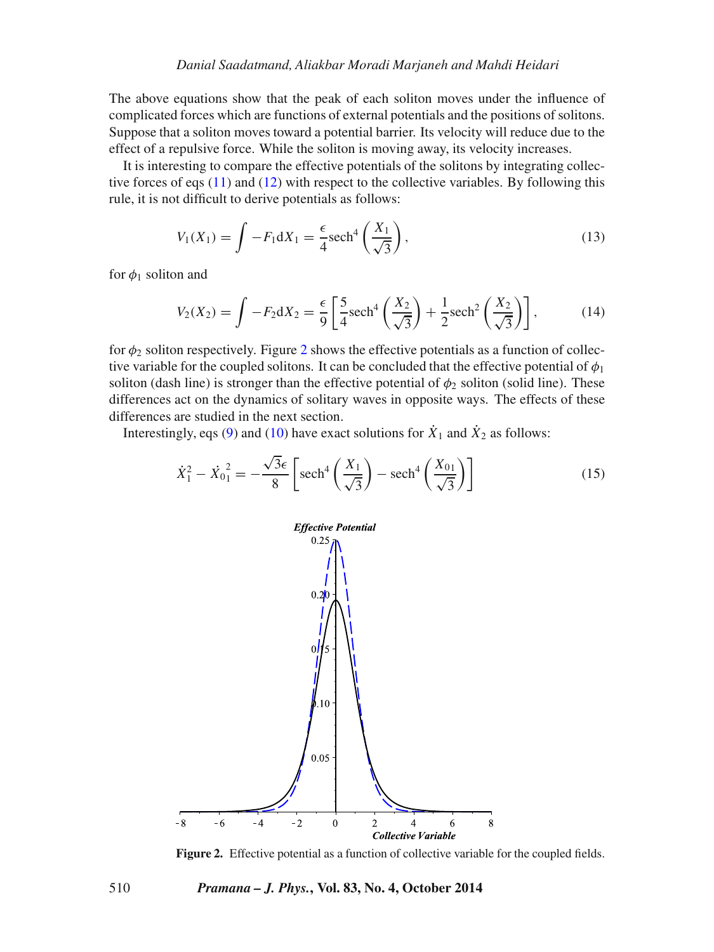The above equations show that the peak of each soliton moves under the influence of complicated forces which are functions of external potentials and the positions of solitons. Suppose that a soliton moves toward a potential barrier. Its velocity will reduce due to the effect of a repulsive force. While the soliton is moving away, its velocity increases.

It is interesting to compare the effective potentials of the solitons by integrating collective forces of eqs [\(11\)](#page-4-2) and [\(12\)](#page-4-3) with respect to the collective variables. By following this rule, it is not difficult to derive potentials as follows:

$$
V_1(X_1) = \int -F_1 dX_1 = \frac{\epsilon}{4} \text{sech}^4\left(\frac{X_1}{\sqrt{3}}\right),\tag{13}
$$

for  $\phi_1$  soliton and

$$
V_2(X_2) = \int -F_2 dX_2 = \frac{\epsilon}{9} \left[ \frac{5}{4} \mathrm{sech}^4 \left( \frac{X_2}{\sqrt{3}} \right) + \frac{1}{2} \mathrm{sech}^2 \left( \frac{X_2}{\sqrt{3}} \right) \right],\tag{14}
$$

for  $\phi_2$  $\phi_2$  soliton respectively. Figure 2 shows the effective potentials as a function of collective variable for the coupled solitons. It can be concluded that the effective potential of  $\phi_1$ soliton (dash line) is stronger than the effective potential of  $\phi_2$  soliton (solid line). These differences act on the dynamics of solitary waves in opposite ways. The effects of these differences are studied in the next section.

Interestingly, eqs [\(9\)](#page-4-4) and [\(10\)](#page-4-5) have exact solutions for  $\dot{X}_1$  and  $\dot{X}_2$  as follows:

<span id="page-5-1"></span>
$$
\dot{X}_1^2 - \dot{X}_0^2 = -\frac{\sqrt{3}\epsilon}{8} \left[ \mathrm{sech}^4 \left( \frac{X_1}{\sqrt{3}} \right) - \mathrm{sech}^4 \left( \frac{X_{01}}{\sqrt{3}} \right) \right]
$$
(15)

<span id="page-5-0"></span>

**Figure 2.** Effective potential as a function of collective variable for the coupled fields.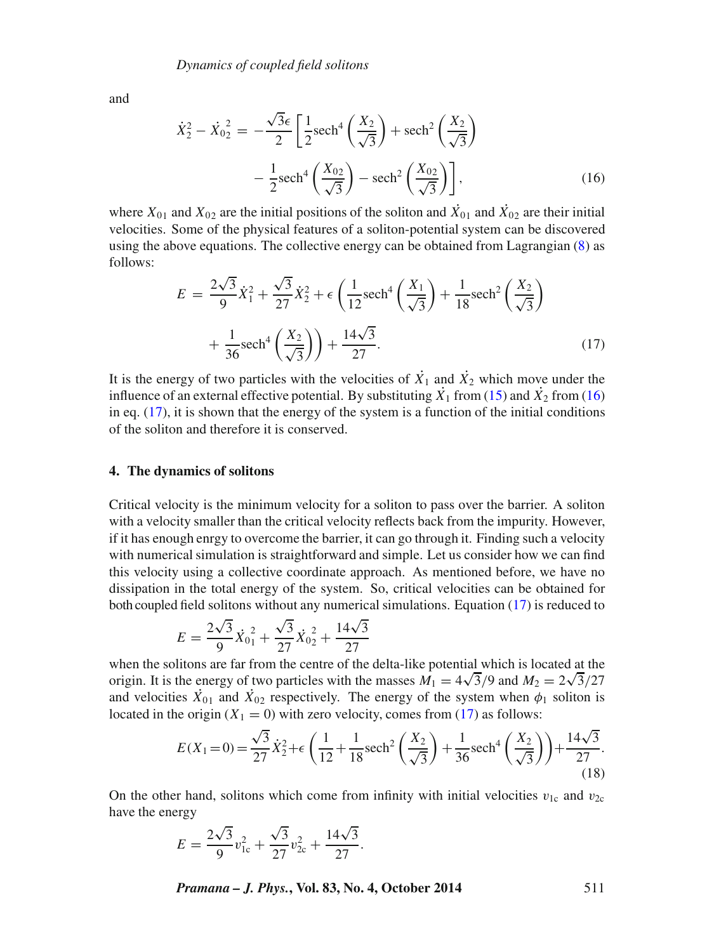and

<span id="page-6-0"></span>
$$
\dot{X}_2^2 - \dot{X}_0^2 = -\frac{\sqrt{3}\epsilon}{2} \left[ \frac{1}{2} \text{sech}^4 \left( \frac{X_2}{\sqrt{3}} \right) + \text{sech}^2 \left( \frac{X_2}{\sqrt{3}} \right) - \frac{1}{2} \text{sech}^4 \left( \frac{X_{02}}{\sqrt{3}} \right) - \text{sech}^2 \left( \frac{X_{02}}{\sqrt{3}} \right) \right],
$$
\n(16)

where  $X_{01}$  and  $X_{02}$  are the initial positions of the soliton and  $\dot{X}_{01}$  and  $\dot{X}_{02}$  are their initial velocities. Some of the physical features of a soliton-potential system can be discovered using the above equations. The collective energy can be obtained from Lagrangian [\(8\)](#page-4-1) as follows:

<span id="page-6-1"></span>
$$
E = \frac{2\sqrt{3}}{9}\dot{X}_1^2 + \frac{\sqrt{3}}{27}\dot{X}_2^2 + \epsilon \left(\frac{1}{12}\text{sech}^4\left(\frac{X_1}{\sqrt{3}}\right) + \frac{1}{18}\text{sech}^2\left(\frac{X_2}{\sqrt{3}}\right) + \frac{1}{36}\text{sech}^4\left(\frac{X_2}{\sqrt{3}}\right)\right) + \frac{14\sqrt{3}}{27}.
$$
\n(17)

It is the energy of two particles with the velocities of  $\dot{X}_1$  and  $\dot{X}_2$  which move under the influence of an external effective potential. By substituting  $\dot{x_1}$  from [\(15\)](#page-5-1) and  $\dot{x_2}$  from [\(16\)](#page-6-0) in eq.  $(17)$ , it is shown that the energy of the system is a function of the initial conditions of the soliton and therefore it is conserved.

#### **4. The dynamics of solitons**

Critical velocity is the minimum velocity for a soliton to pass over the barrier. A soliton with a velocity smaller than the critical velocity reflects back from the impurity. However, if it has enough enrgy to overcome the barrier, it can go through it. Finding such a velocity with numerical simulation is straightforward and simple. Let us consider how we can find this velocity using a collective coordinate approach. As mentioned before, we have no dissipation in the total energy of the system. So, critical velocities can be obtained for both coupled field solitons without any numerical simulations. Equation [\(17\)](#page-6-1) is reduced to

$$
E = \frac{2\sqrt{3}}{9}\dot{X}_{01}^{2} + \frac{\sqrt{3}}{27}\dot{X}_{02}^{2} + \frac{14\sqrt{3}}{27}
$$

when the solitons are far from the centre of the delta-like potential which is located at the origin. It is the energy of two particles with the masses  $M_1 = 4\sqrt{3}/9$  and  $M_2 = 2\sqrt{3}/27$ and velocities  $\dot{X}_{01}$  and  $\dot{X}_{02}$  respectively. The energy of the system when  $\phi_1$  soliton is located in the origin  $(X_1 = 0)$  with zero velocity, comes from [\(17\)](#page-6-1) as follows:

$$
E(X_1 = 0) = \frac{\sqrt{3}}{27}\dot{X}_2^2 + \epsilon \left(\frac{1}{12} + \frac{1}{18}\text{sech}^2\left(\frac{X_2}{\sqrt{3}}\right) + \frac{1}{36}\text{sech}^4\left(\frac{X_2}{\sqrt{3}}\right)\right) + \frac{14\sqrt{3}}{27}.
$$
\n(18)

On the other hand, solitons which come from infinity with initial velocities  $v_{1c}$  and  $v_{2c}$ have the energy

$$
E = \frac{2\sqrt{3}}{9}v_{1c}^2 + \frac{\sqrt{3}}{27}v_{2c}^2 + \frac{14\sqrt{3}}{27}.
$$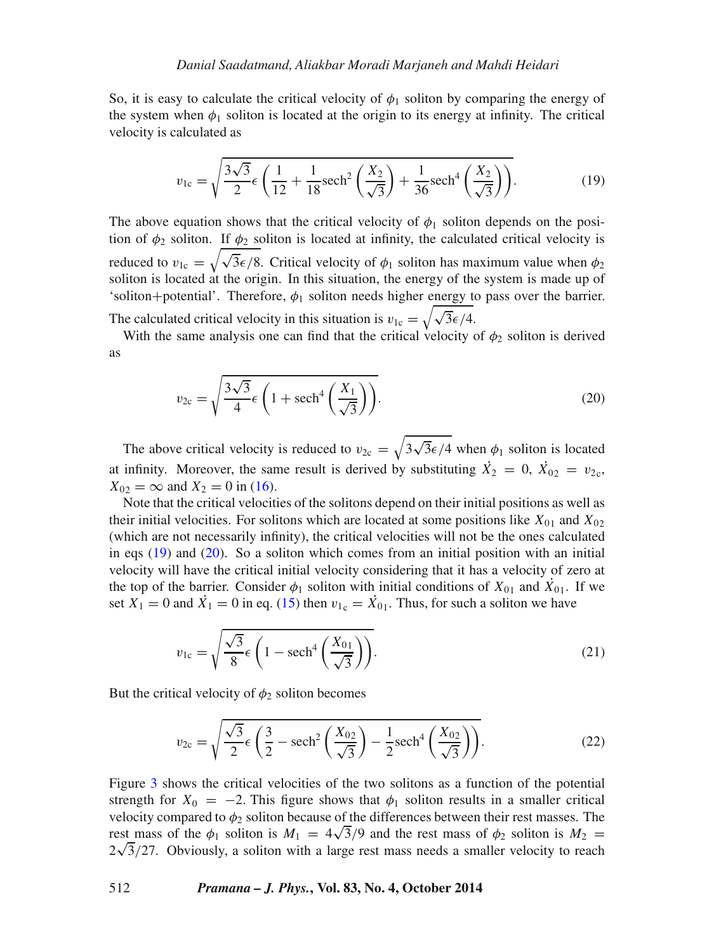So, it is easy to calculate the critical velocity of  $\phi_1$  soliton by comparing the energy of the system when  $\phi_1$  soliton is located at the origin to its energy at infinity. The critical velocity is calculated as

<span id="page-7-0"></span>
$$
v_{1c} = \sqrt{\frac{3\sqrt{3}}{2}} \epsilon \left( \frac{1}{12} + \frac{1}{18} \mathrm{sech}^2 \left( \frac{X_2}{\sqrt{3}} \right) + \frac{1}{36} \mathrm{sech}^4 \left( \frac{X_2}{\sqrt{3}} \right) \right).
$$
 (19)

The above equation shows that the critical velocity of  $\phi_1$  soliton depends on the position of  $\phi_2$  soliton. If  $\phi_2$  soliton is located at infinity, the calculated critical velocity is reduced to  $v_{1c} = \sqrt{\sqrt{3\epsilon}/8}$ . Critical velocity of  $\phi_1$  soliton has maximum value when  $\phi_2$ soliton is located at the origin. In this situation, the energy of the system is made up of 'soliton+potential'. Therefore,  $\phi_1$  soliton needs higher energy to pass over the barrier. The calculated critical velocity in this situation is  $v_{1c} = \sqrt{\sqrt{3\epsilon/4}}$ .

<span id="page-7-1"></span>With the same analysis one can find that the critical velocity of  $\phi_2$  soliton is derived as

$$
v_{2c} = \sqrt{\frac{3\sqrt{3}}{4}\epsilon \left(1 + \mathrm{sech}^4\left(\frac{X_1}{\sqrt{3}}\right)\right)}.
$$
 (20)

The above critical velocity is reduced to  $v_{2c} = \sqrt{3\sqrt{3}\epsilon/4}$  when  $\phi_1$  soliton is located at infinity. Moreover, the same result is derived by substituting  $\dot{X}_2 = 0$ ,  $\dot{X}_{02} = v_{2c}$ ,  $X_{02} = \infty$  and  $X_2 = 0$  in [\(16\)](#page-6-0).

Note that the critical velocities of the solitons depend on their initial positions as well as their initial velocities. For solitons which are located at some positions like  $X_{01}$  and  $X_{02}$ (which are not necessarily infinity), the critical velocities will not be the ones calculated in eqs  $(19)$  and  $(20)$ . So a soliton which comes from an initial position with an initial velocity will have the critical initial velocity considering that it has a velocity of zero at the top of the barrier. Consider  $\phi_1$  soliton with initial conditions of  $X_{01}$  and  $\dot{X}_{01}$ . If we set  $X_1 = 0$  and  $\dot{X}_1 = 0$  in eq. [\(15\)](#page-5-1) then  $v_{1c} = \dot{X}_{01}$ . Thus, for such a soliton we have

$$
v_{1c} = \sqrt{\frac{\sqrt{3}}{8} \epsilon \left(1 - \mathrm{sech}^4\left(\frac{X_{01}}{\sqrt{3}}\right)\right)}.
$$
 (21)

But the critical velocity of  $\phi_2$  soliton becomes

$$
v_{2c} = \sqrt{\frac{\sqrt{3}}{2} \epsilon \left(\frac{3}{2} - \text{sech}^2 \left(\frac{X_{02}}{\sqrt{3}}\right) - \frac{1}{2} \text{sech}^4 \left(\frac{X_{02}}{\sqrt{3}}\right)\right)}.
$$
 (22)

Figure [3](#page-8-0) shows the critical velocities of the two solitons as a function of the potential strength for  $X_0 = -2$ . This figure shows that  $\phi_1$  soliton results in a smaller critical velocity compared to  $\phi_2$  soliton because of the differences between their rest masses. The rest, promotion is  $M_1 = 4\sqrt{3}/9$  and the rest mass of  $\phi_2$  soliton is  $M_2 =$  $2\sqrt{3}/27$ . Obviously, a soliton with a large rest mass needs a smaller velocity to reach  $2\sqrt{3}/27$ .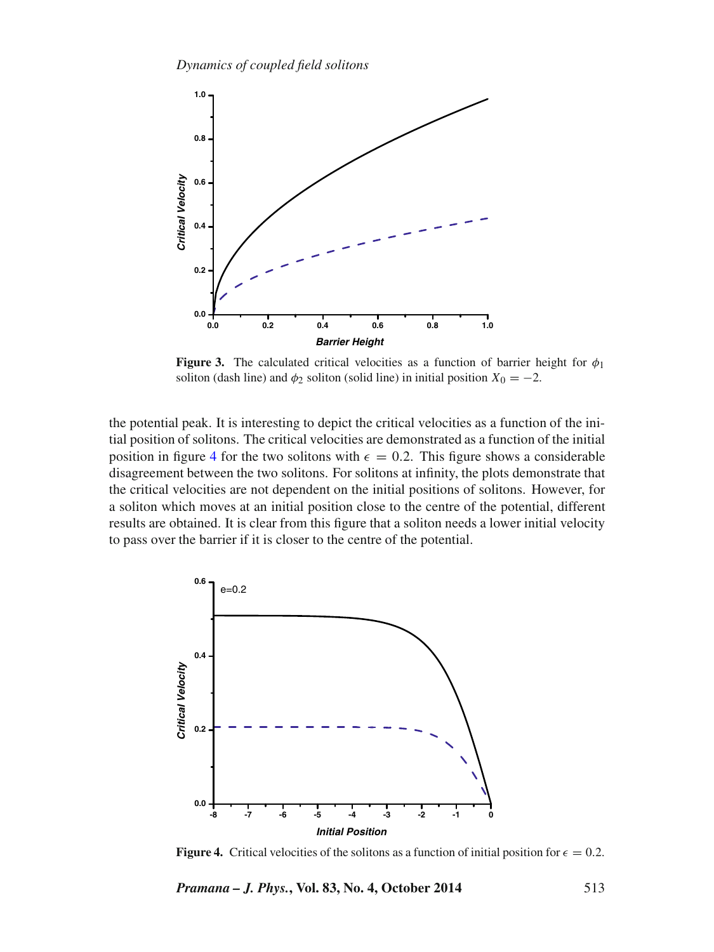<span id="page-8-0"></span>

**Figure 3.** The calculated critical velocities as a function of barrier height for  $\phi_1$ soliton (dash line) and  $\phi_2$  soliton (solid line) in initial position  $X_0 = -2$ .

the potential peak. It is interesting to depict the critical velocities as a function of the initial position of solitons. The critical velocities are demonstrated as a function of the initial position in figure [4](#page-8-1) for the two solitons with  $\epsilon = 0.2$ . This figure shows a considerable disagreement between the two solitons. For solitons at infinity, the plots demonstrate that the critical velocities are not dependent on the initial positions of solitons. However, for a soliton which moves at an initial position close to the centre of the potential, different results are obtained. It is clear from this figure that a soliton needs a lower initial velocity to pass over the barrier if it is closer to the centre of the potential.

<span id="page-8-1"></span>

**Figure 4.** Critical velocities of the solitons as a function of initial position for  $\epsilon = 0.2$ .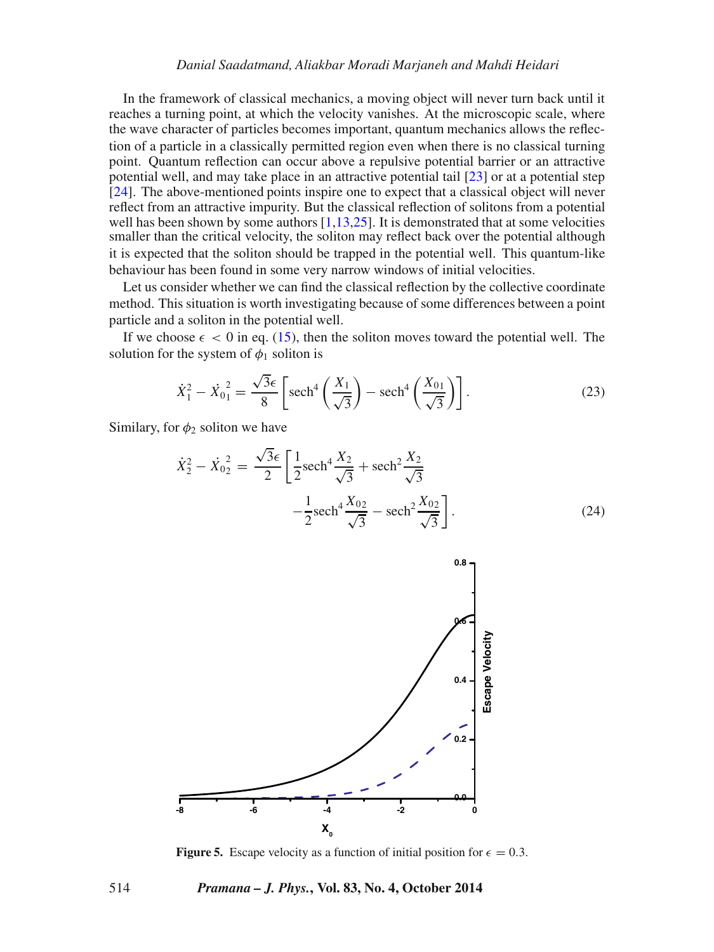#### *Danial Saadatmand, Aliakbar Moradi Marjaneh and Mahdi Heidari*

In the framework of classical mechanics, a moving object will never turn back until it reaches a turning point, at which the velocity vanishes. At the microscopic scale, where the wave character of particles becomes important, quantum mechanics allows the reflection of a particle in a classically permitted region even when there is no classical turning point. Quantum reflection can occur above a repulsive potential barrier or an attractive potential well, and may take place in an attractive potential tail [\[23\]](#page-12-15) or at a potential step [\[24\]](#page-12-16). The above-mentioned points inspire one to expect that a classical object will never reflect from an attractive impurity. But the classical reflection of solitons from a potential well has been shown by some authors [\[1](#page-11-0)[,13,](#page-12-5)[25\]](#page-12-17). It is demonstrated that at some velocities smaller than the critical velocity, the soliton may reflect back over the potential although it is expected that the soliton should be trapped in the potential well. This quantum-like behaviour has been found in some very narrow windows of initial velocities.

Let us consider whether we can find the classical reflection by the collective coordinate method. This situation is worth investigating because of some differences between a point particle and a soliton in the potential well.

If we choose  $\epsilon < 0$  in eq. [\(15\)](#page-5-1), then the soliton moves toward the potential well. The solution for the system of  $\phi_1$  soliton is

$$
\dot{X}_1^2 - \dot{X}_0^2 = \frac{\sqrt{3}\epsilon}{8} \left[ \mathrm{sech}^4\left(\frac{X_1}{\sqrt{3}}\right) - \mathrm{sech}^4\left(\frac{X_{01}}{\sqrt{3}}\right) \right].
$$
 (23)

Similary, for  $\phi_2$  soliton we have

$$
\dot{X}_2^2 - \dot{X}_0^2 = \frac{\sqrt{3}\epsilon}{2} \left[ \frac{1}{2} \operatorname{sech}^4 \frac{X_2}{\sqrt{3}} + \operatorname{sech}^2 \frac{X_2}{\sqrt{3}} - \frac{1}{2} \operatorname{sech}^4 \frac{X_{02}}{\sqrt{3}} - \operatorname{sech}^2 \frac{X_{02}}{\sqrt{3}} \right].
$$
\n(24)

<span id="page-9-0"></span>

**Figure 5.** Escape velocity as a function of initial position for  $\epsilon = 0.3$ .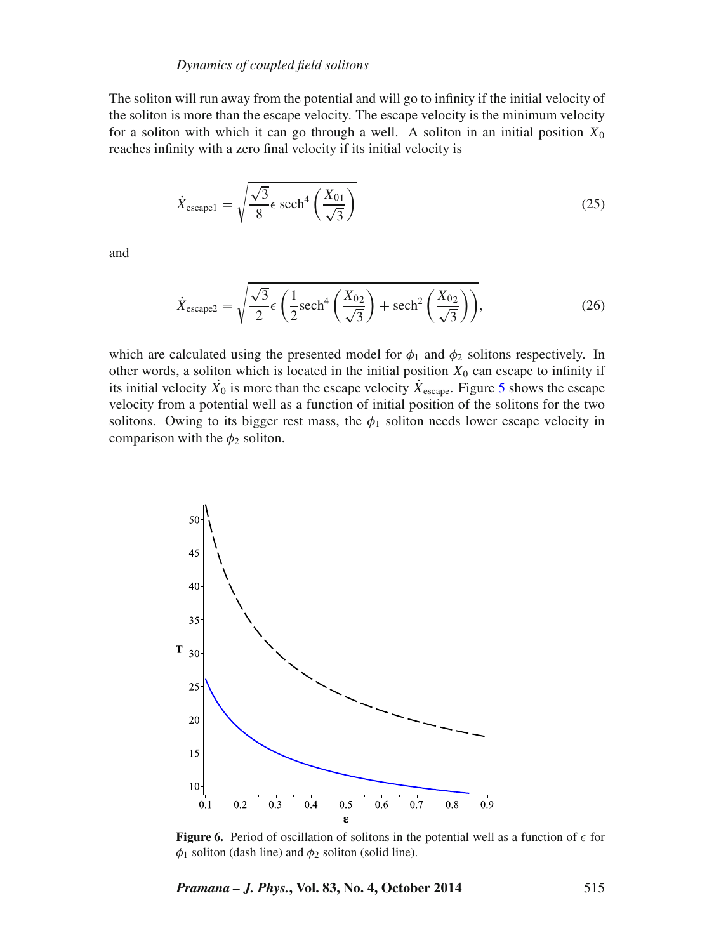#### *Dynamics of coupled field solitons*

The soliton will run away from the potential and will go to infinity if the initial velocity of the soliton is more than the escape velocity. The escape velocity is the minimum velocity for a soliton with which it can go through a well. A soliton in an initial position  $X_0$ reaches infinity with a zero final velocity if its initial velocity is

$$
\dot{X}_{\text{escape1}} = \sqrt{\frac{\sqrt{3}}{8} \epsilon \operatorname{sech}^4\left(\frac{X_{01}}{\sqrt{3}}\right)}
$$
\n(25)

and

$$
\dot{X}_{\text{escape2}} = \sqrt{\frac{\sqrt{3}}{2} \epsilon \left(\frac{1}{2} \text{sech}^4\left(\frac{X_{02}}{\sqrt{3}}\right) + \text{sech}^2\left(\frac{X_{02}}{\sqrt{3}}\right)\right)},\tag{26}
$$

which are calculated using the presented model for  $\phi_1$  and  $\phi_2$  solitons respectively. In other words, a soliton which is located in the initial position  $X_0$  can escape to infinity if its initial velocity  $\dot{X}_0$  is more than the escape velocity  $\dot{X}_{\text{escape}}$ . Figure [5](#page-9-0) shows the escape velocity from a potential well as a function of initial position of the solitons for the two solitons. Owing to its bigger rest mass, the  $\phi_1$  soliton needs lower escape velocity in comparison with the  $\phi_2$  soliton.

<span id="page-10-0"></span>

**Figure 6.** Period of oscillation of solitons in the potential well as a function of  $\epsilon$  for  $\phi_1$  soliton (dash line) and  $\phi_2$  soliton (solid line).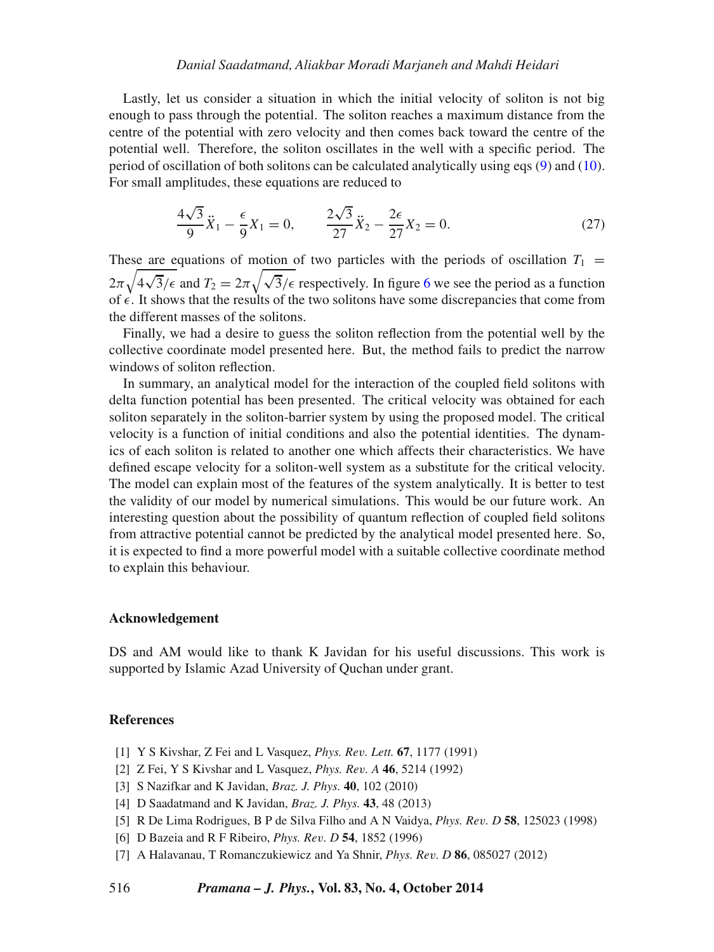#### *Danial Saadatmand, Aliakbar Moradi Marjaneh and Mahdi Heidari*

Lastly, let us consider a situation in which the initial velocity of soliton is not big enough to pass through the potential. The soliton reaches a maximum distance from the centre of the potential with zero velocity and then comes back toward the centre of the potential well. Therefore, the soliton oscillates in the well with a specific period. The period of oscillation of both solitons can be calculated analytically using eqs [\(9\)](#page-4-4) and [\(10\)](#page-4-5). For small amplitudes, these equations are reduced to

$$
\frac{4\sqrt{3}}{9}\ddot{X}_1 - \frac{\epsilon}{9}X_1 = 0, \qquad \frac{2\sqrt{3}}{27}\ddot{X}_2 - \frac{2\epsilon}{27}X_2 = 0.
$$
 (27)

These are equations of motion of two particles with the periods of oscillation  $T_1$  =  $2\pi\sqrt{4\sqrt{3}}/\epsilon$  and  $T_2 = 2\pi\sqrt{\sqrt{3}}/\epsilon$  respectively. In figure [6](#page-10-0) we see the period as a function of  $\epsilon$ . It shows that the results of the two solitons have some discrepancies that come from the different masses of the solitons.

Finally, we had a desire to guess the soliton reflection from the potential well by the collective coordinate model presented here. But, the method fails to predict the narrow windows of soliton reflection.

In summary, an analytical model for the interaction of the coupled field solitons with delta function potential has been presented. The critical velocity was obtained for each soliton separately in the soliton-barrier system by using the proposed model. The critical velocity is a function of initial conditions and also the potential identities. The dynamics of each soliton is related to another one which affects their characteristics. We have defined escape velocity for a soliton-well system as a substitute for the critical velocity. The model can explain most of the features of the system analytically. It is better to test the validity of our model by numerical simulations. This would be our future work. An interesting question about the possibility of quantum reflection of coupled field solitons from attractive potential cannot be predicted by the analytical model presented here. So, it is expected to find a more powerful model with a suitable collective coordinate method to explain this behaviour.

#### **Acknowledgement**

DS and AM would like to thank K Javidan for his useful discussions. This work is supported by Islamic Azad University of Quchan under grant.

#### **References**

- <span id="page-11-0"></span>[1] Y S Kivshar, Z Fei and L Vasquez, *Phys. Re*v*. Lett.* **67**, 1177 (1991)
- <span id="page-11-1"></span>[2] Z Fei, Y S Kivshar and L Vasquez, *Phys. Re*v*. A* **46**, 5214 (1992)
- <span id="page-11-2"></span>[3] S Nazifkar and K Javidan, *Braz. J. Phys.* **40**, 102 (2010)
- <span id="page-11-3"></span>[4] D Saadatmand and K Javidan, *Braz. J. Phys.* **43**, 48 (2013)
- <span id="page-11-4"></span>[5] R De Lima Rodrigues, B P de Silva Filho and A N Vaidya, *Phys. Re*v*. D* **58**, 125023 (1998)
- <span id="page-11-5"></span>[6] D Bazeia and R F Ribeiro, *Phys. Re*v*. D* **54**, 1852 (1996)
- <span id="page-11-6"></span>[7] A Halavanau, T Romanczukiewicz and Ya Shnir, *Phys. Re*v*. D* **86**, 085027 (2012)